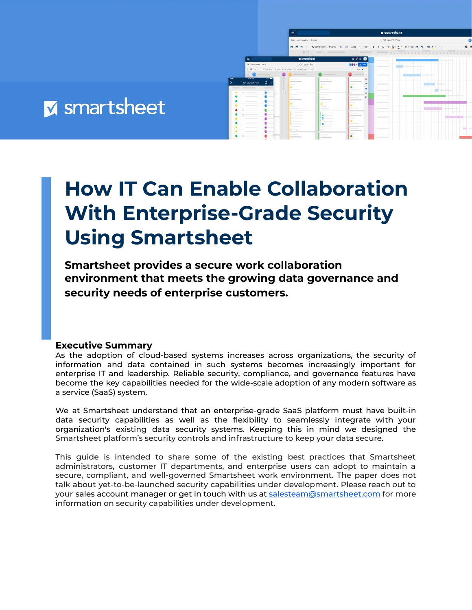

# **How IT Can Enable Collaboration With Enterprise-Grade Security Using Smartsheet**

**Smartsheet provides a secure work collaboration environment that meets the growing data governance and security needs of enterprise customers.**

#### **Executive Summary**

As the adoption of cloud-based systems increases across organizations, the security of information and data contained in such systems becomes increasingly important for enterprise IT and leadership. Reliable security, compliance, and governance features have become the key capabilities needed for the wide-scale adoption of any modern software as a service (SaaS) system.

We at Smartsheet understand that an enterprise-grade SaaS platform must have built-in data security capabilities as well as the flexibility to seamlessly integrate with your organization's existing data security systems. Keeping this in mind we designed the Smartsheet platform's security controls and infrastructure to keep your data secure.

This guide is intended to share some of the existing best practices that Smartsheet administrators, customer IT departments, and enterprise users can adopt to maintain a secure, compliant, and well-governed Smartsheet work environment. The paper does not talk about yet-to-be-launched security capabilities under development. Please reach out to your sales account manager or get in touch with us at [salesteam@smartsheet.com](mailto:salesteam@smartsheet.com) for more information on security capabilities under development.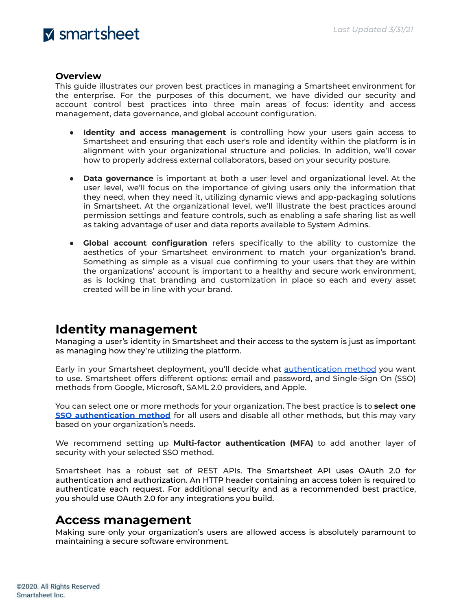#### **Overview**

This guide illustrates our proven best practices in managing a Smartsheet environment for the enterprise. For the purposes of this document, we have divided our security and account control best practices into three main areas of focus: identity and access management, data governance, and global account configuration.

- **Identity and access management** is controlling how your users gain access to Smartsheet and ensuring that each user's role and identity within the platform is in alignment with your organizational structure and policies. In addition, we'll cover how to properly address external collaborators, based on your security posture.
- **Data governance** is important at both a user level and organizational level. At the user level, we'll focus on the importance of giving users only the information that they need, when they need it, utilizing dynamic views and app-packaging solutions in Smartsheet. At the organizational level, we'll illustrate the best practices around permission settings and feature controls, such as enabling a safe sharing list as well as taking advantage of user and data reports available to System Admins.
- **Global account configuration** refers specifically to the ability to customize the aesthetics of your Smartsheet environment to match your organization's brand. Something as simple as a visual cue confirming to your users that they are within the organizations' account is important to a healthy and secure work environment, as is locking that branding and customization in place so each and every asset created will be in line with your brand.

### **Identity management**

Managing a user's identity in Smartsheet and their access to the system is just as important as managing how they're utilizing the platform.

Early in your Smartsheet deployment, you'll decide what [authentication](https://help.smartsheet.com/articles/516133-managing-authentication-options-enterprise-only-) method you want to use. Smartsheet offers different options: email and password, and Single-Sign On (SSO) methods from Google, Microsoft, SAML 2.0 providers, and Apple.

You can select one or more methods for your organization. The best practice is to **select one SSO [authentication](https://help.smartsheet.com/articles/2476141-configure-saml-sso) method** for all users and disable all other methods, but this may vary based on your organization's needs.

We recommend setting up **Multi-factor authentication (MFA)** to add another layer of security with your selected SSO method.

Smartsheet has a robust set of REST APIs. The Smartsheet API uses OAuth 2.0 for authentication and authorization. An HTTP header containing an access token is required to authenticate each request. For additional security and as a recommended best practice, you should use OAuth 2.0 for any integrations you build.

### **Access management**

Making sure only your organization's users are allowed access is absolutely paramount to maintaining a secure software environment.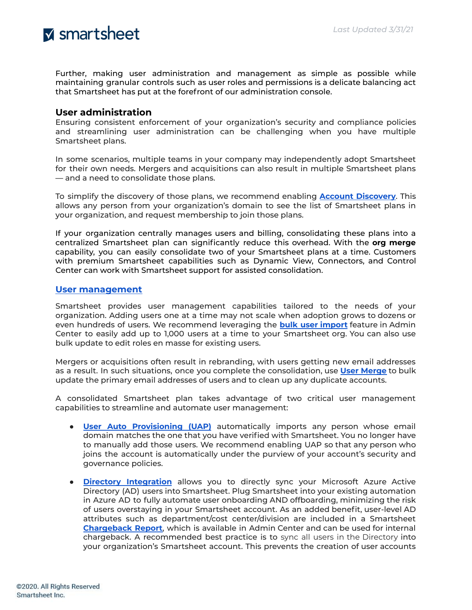Further, making user administration and management as simple as possible while maintaining granular controls such as user roles and permissions is a delicate balancing act that Smartsheet has put at the forefront of our administration console.

#### **User administration**

Ensuring consistent enforcement of your organization's security and compliance policies and streamlining user administration can be challenging when you have multiple Smartsheet plans.

In some scenarios, multiple teams in your company may independently adopt Smartsheet for their own needs. Mergers and acquisitions can also result in multiple Smartsheet plans — and a need to consolidate those plans.

To simplify the discovery of those plans, we recommend enabling **Account [Discovery](https://help.smartsheet.com/articles/2476516-join-existing-smartsheet-plan#toc-information-for-system-admins)**. This allows any person from your organization's domain to see the list of Smartsheet plans in your organization, and request membership to join those plans.

If your organization centrally manages users and billing, consolidating these plans into a centralized Smartsheet plan can significantly reduce this overhead. With the **org merge** capability, you can easily consolidate two of your Smartsheet plans at a time. Customers with premium Smartsheet capabilities such as Dynamic View, Connectors, and Control Center can work with Smartsheet support for assisted consolidation.

#### **User [management](https://help.smartsheet.com/articles/795920-manage-users-multi-user-plan?source=adminguide)**

Smartsheet provides user management capabilities tailored to the needs of your organization. Adding users one at a time may not scale when adoption grows to dozens or even hundreds of users. We recommend leveraging the **bulk user [import](https://help.smartsheet.com/articles/2481890-admin-center-bulk-actions-and-more-with-user-management#toc-add-or-edit-users-in-bulk)** feature in Admin Center to easily add up to 1,000 users at a time to your Smartsheet org. You can also use bulk update to edit roles en masse for existing users.

Mergers or acquisitions often result in rebranding, with users getting new email addresses as a result. In such situations, once you complete the consolidation, use **User [Merge](https://help.smartsheet.com/learning-track/system-admin/user-merge)** to bulk update the primary email addresses of users and to clean up any duplicate accounts.

A consolidated Smartsheet plan takes advantage of two critical user management capabilities to streamline and automate user management:

- **User Auto [Provisioning](https://help.smartsheet.com/learning-track/system-admin/user-auto-provisioning) (UAP)** automatically imports any person whose email domain matches the one that you have verified with Smartsheet. You no longer have to manually add those users. We recommend enabling UAP so that any person who joins the account is automatically under the purview of your account's security and governance policies.
- **Directory [Integration](https://www.smartsheet.com/marketplace/apps/microsoft-azure-ad)** allows you to directly sync your Microsoft Azure Active Directory (AD) users into Smartsheet. Plug Smartsheet into your existing automation in Azure AD to fully automate user onboarding AND offboarding, minimizing the risk of users overstaying in your Smartsheet account. As an added benefit, user-level AD attributes such as department/cost center/division are included in a Smartsheet **[Chargeback](https://www.smartsheet.com/content-center/product-news/release-notes/chargeback-reports-directory-integration) Report**, which is available in Admin Center and can be used for internal chargeback. A recommended best practice is to sync all users in the Directory into your organization's Smartsheet account. This prevents the creation of user accounts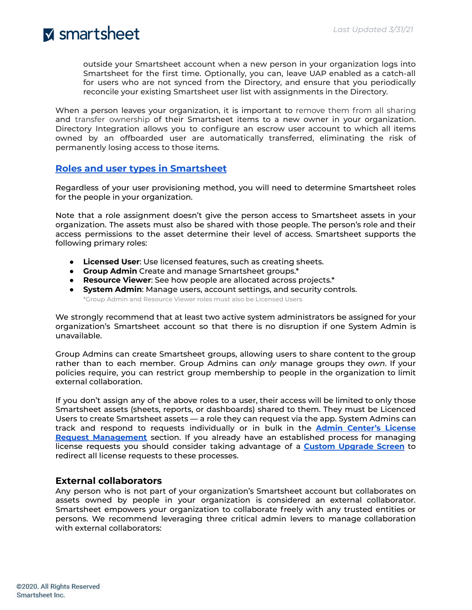outside your Smartsheet account when a new person in your organization logs into Smartsheet for the first time. Optionally, you can, leave UAP enabled as a catch-all for users who are not synced from the Directory, and ensure that you periodically reconcile your existing Smartsheet user list with assignments in the Directory.

When a person leaves your organization, it is important to remove them from all sharing and transfer ownership of their Smartsheet items to a new owner in your organization. Directory Integration allows you to configure an escrow user account to which all items owned by an offboarded user are automatically transferred, eliminating the risk of permanently losing access to those items.

#### **Roles and user types in [Smartsheet](https://help.smartsheet.com/articles/520100-user-types)**

Regardless of your user provisioning method, you will need to determine Smartsheet roles for the people in your organization.

Note that a role assignment doesn't give the person access to Smartsheet assets in your organization. The assets must also be shared with those people. The person's role and their access permissions to the asset determine their level of access. Smartsheet supports the following primary roles:

- **Licensed User**: Use licensed features, such as creating sheets.
- **Group Admin** Create and manage Smartsheet groups.\*
- **Resource Viewer**: See how people are allocated across projects.\*
- **System Admin**: Manage users, account settings, and security controls.

\*Group Admin and Resource Viewer roles must also be Licensed Users

We strongly recommend that at least two active system administrators be assigned for your organization's Smartsheet account so that there is no disruption if one System Admin is unavailable.

Group Admins can create Smartsheet groups, allowing users to share content to the group rather than to each member. Group Admins can *only* manage groups they *own*. If your policies require, you can restrict group membership to people in the organization to limit external collaboration.

If you don't assign any of the above roles to a user, their access will be limited to only those Smartsheet assets (sheets, reports, or dashboards) shared to them. They must be Licenced Users to create Smartsheet assets — a role they can request via the app. System Admins can track and respond to requests individually or in bulk in the **Admin [Center's](https://help.smartsheet.com/articles/2481889-admin-center-overview#toc-license-requests-page) License Request [Management](https://help.smartsheet.com/articles/2481889-admin-center-overview#toc-license-requests-page)** section. If you already have an established process for managing license requests you should consider taking advantage of a **Custom [Upgrade](https://help.smartsheet.com/articles/1392225-customizing-a-welcome-message-upgrade-screen-enterprise-only#toc-create-a-custom-upgrade-screen) Screen** to redirect all license requests to these processes.

#### **External collaborators**

Any person who is not part of your organization's Smartsheet account but collaborates on assets owned by people in your organization is considered an external collaborator. Smartsheet empowers your organization to collaborate freely with any trusted entities or persons. We recommend leveraging three critical admin levers to manage collaboration with external collaborators: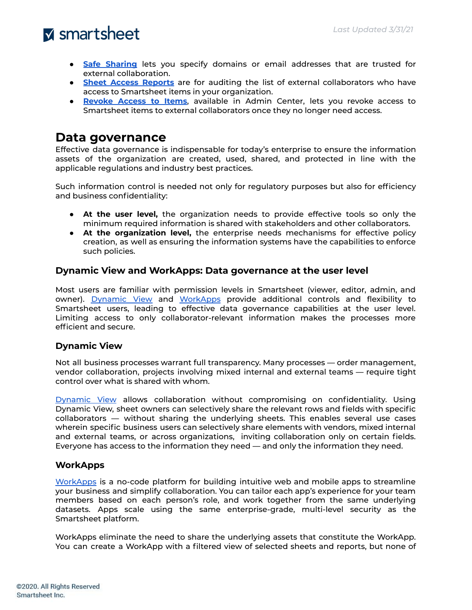- **Safe [Sharing](https://help.smartsheet.com/articles/855284-security-controls-enterprise-only#approvedomains)** lets you specify domains or email addresses that are trusted for external collaboration.
- **Sheet Access [Reports](https://help.smartsheet.com/articles/795920-manage-users-multi-user-plan#toc-other-actions-to-manage-user-accounts)** are for auditing the list of external collaborators who have access to Smartsheet items in your organization.
- **[Revoke](https://help.smartsheet.com/articles/2481890-admin-center-bulk-actions-and-more-with-user-management#toc-more-actions-in-user-management) Access to Items**, available in Admin Center, lets you revoke access to Smartsheet items to external collaborators once they no longer need access.

### **Data governance**

Effective data governance is indispensable for today's enterprise to ensure the information assets of the organization are created, used, shared, and protected in line with the applicable regulations and industry best practices.

Such information control is needed not only for regulatory purposes but also for efficiency and business confidentiality:

- **At the user level,** the organization needs to provide effective tools so only the minimum required information is shared with stakeholders and other collaborators.
- **At the organization level,** the enterprise needs mechanisms for effective policy creation, as well as ensuring the information systems have the capabilities to enforce such policies.

#### **Dynamic View and WorkApps: Data governance at the user level**

Most users are familiar with permission levels in Smartsheet (viewer, editor, admin, and owner). [Dynamic](https://www.smartsheet.com/marketplace/premium-apps/dynamic-view) View and [WorkApps](https://help.smartsheet.com/learning-track/smartsheet-advanced/workapps) provide additional controls and flexibility to Smartsheet users, leading to effective data governance capabilities at the user level. Limiting access to only collaborator-relevant information makes the processes more efficient and secure.

#### **Dynamic View**

Not all business processes warrant full transparency. Many processes — order management, vendor collaboration, projects involving mixed internal and external teams — require tight control over what is shared with whom.

[Dynamic](https://www.smartsheet.com/marketplace/premium-apps/dynamic-view) View allows collaboration without compromising on confidentiality. Using Dynamic View, sheet owners can selectively share the relevant rows and fields with specific collaborators — without sharing the underlying sheets. This enables several use cases wherein specific business users can selectively share elements with vendors, mixed internal and external teams, or across organizations, inviting collaboration only on certain fields. Everyone has access to the information they need — and only the information they need.

#### **WorkApps**

[WorkApps](https://www.smartsheet.com/platform/workapps) is a no-code platform for building intuitive web and mobile apps to streamline your business and simplify collaboration. You can tailor each app's experience for your team members based on each person's role, and work together from the same underlying datasets. Apps scale using the same enterprise-grade, multi-level security as the Smartsheet platform.

WorkApps eliminate the need to share the underlying assets that constitute the WorkApp. You can create a WorkApp with a filtered view of selected sheets and reports, but none of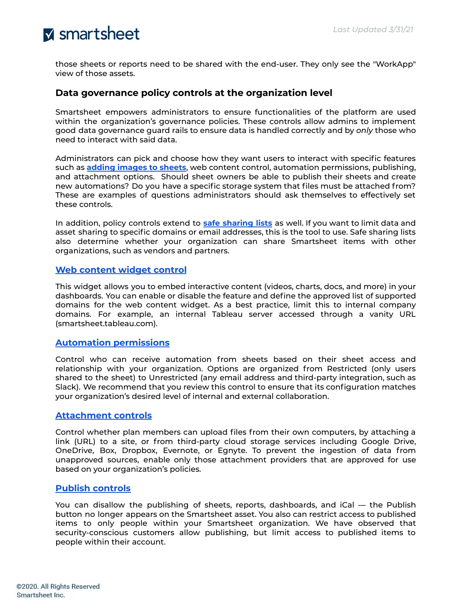those sheets or reports need to be shared with the end-user. They only see the "WorkApp" view of those assets.

#### **Data governance policy controls at the organization level**

Smartsheet empowers administrators to ensure functionalities of the platform are used within the organization's governance policies. These controls allow admins to implement good data governance guard rails to ensure data is handled correctly and by *only* those who need to interact with said data.

Administrators can pick and choose how they want users to interact with specific features such as **adding [images](https://help.smartsheet.com/articles/2482070-admin-center-manage-security-and-controls) to sheets**, web content control, automation permissions, publishing, and attachment options. Should sheet owners be able to publish their sheets and create new automations? Do you have a specific storage system that files must be attached from? These are examples of questions administrators should ask themselves to effectively set these controls.

In addition, policy controls extend to **safe [sharing](https://help.smartsheet.com/articles/855284-security-controls-enterprise-only#approvedomains) lists** as well. If you want to limit data and asset sharing to specific domains or email addresses, this is the tool to use. Safe sharing lists also determine whether your organization can share Smartsheet items with other organizations, such as vendors and partners.

#### **Web [content](https://help.smartsheet.com/articles/2477606-web-content-widget) widget control**

This widget allows you to embed interactive content (videos, charts, docs, and more) in your dashboards. You can enable or disable the feature and define the approved list of supported domains for the web content widget. As a best practice, limit this to internal company domains. For example, an internal Tableau server accessed through a vanity URL (smartsheet.tableau.com).

#### **Automation [permissions](https://help.smartsheet.com/articles/1159581-global-account-settings-team-business-enterprise#automation)**

Control who can receive automation from sheets based on their sheet access and relationship with your organization. Options are organized from Restricted (only users shared to the sheet) to Unrestricted (any email address and third-party integration, such as Slack). We recommend that you review this control to ensure that its configuration matches your organization's desired level of internal and external collaboration.

#### **[Attachment](https://help.smartsheet.com/articles/1159581-global-account-settings-team-business-enterprise#attachments) controls**

Control whether plan members can upload files from their own computers, by attaching a link (URL) to a site, or from third-party cloud storage services including Google Drive, OneDrive, Box, Dropbox, Evernote, or Egnyte. To prevent the ingestion of data from unapproved sources, enable only those attachment providers that are approved for use based on your organization's policies.

#### **Publish [controls](https://help.smartsheet.com/articles/2482070-admin-center-manage-security-and-controls)**

You can disallow the publishing of sheets, reports, dashboards, and iCal — the Publish button no longer appears on the Smartsheet asset. You also can restrict access to published items to only people within your Smartsheet organization. We have observed that security-conscious customers allow publishing, but limit access to published items to people within their account.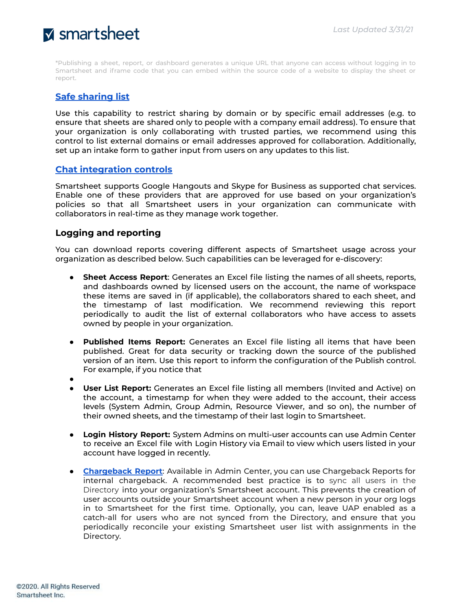\*Publishing a sheet, report, or dashboard generates a unique URL that anyone can access without logging in to Smartsheet and iframe code that you can embed within the source code of a website to display the sheet or report.

#### **Safe [sharing](https://help.smartsheet.com/articles/855284-security-controls-enterprise-only#approvedomains) list**

Use this capability to restrict sharing by domain or by specific email addresses (e.g. to ensure that sheets are shared only to people with a company email address). To ensure that your organization is only collaborating with trusted parties, we recommend using this control to list external domains or email addresses approved for collaboration. Additionally, set up an intake form to gather input from users on any updates to this list.

#### **Chat [integration](https://help.smartsheet.com/articles/2476136-chat-integration-options) controls**

Smartsheet supports Google Hangouts and Skype for Business as supported chat services. Enable one of these providers that are approved for use based on your organization's policies so that all Smartsheet users in your organization can communicate with collaborators in real-time as they manage work together.

#### **Logging and reporting**

You can download reports covering different aspects of Smartsheet usage across your organization as described below. Such capabilities can be leveraged for e-discovery:

- **Sheet Access Report**: Generates an Excel file listing the names of all sheets, reports, and dashboards owned by licensed users on the account, the name of workspace these items are saved in (if applicable), the collaborators shared to each sheet, and the timestamp of last modification. We recommend reviewing this report periodically to audit the list of external collaborators who have access to assets owned by people in your organization.
- **Published Items Report:** Generates an Excel file listing all items that have been published. Great for data security or tracking down the source of the published version of an item. Use this report to inform the configuration of the Publish control. For example, if you notice that
- ●
- **User List Report:** Generates an Excel file listing all members (Invited and Active) on the account, a timestamp for when they were added to the account, their access levels (System Admin, Group Admin, Resource Viewer, and so on), the number of their owned sheets, and the timestamp of their last login to Smartsheet.
- **Login History Report:** System Admins on multi-user accounts can use Admin Center to receive an Excel file with Login History via Email to view which users listed in your account have logged in recently.
- **[Chargeback](https://www.smartsheet.com/content-center/product-news/release-notes/chargeback-reports-directory-integration) Report**: Available in Admin Center, you can use Chargeback Reports for internal chargeback. A recommended best practice is to sync all users in the Directory into your organization's Smartsheet account. This prevents the creation of user accounts outside your Smartsheet account when a new person in your org logs in to Smartsheet for the first time. Optionally, you can, leave UAP enabled as a catch-all for users who are not synced from the Directory, and ensure that you periodically reconcile your existing Smartsheet user list with assignments in the Directory.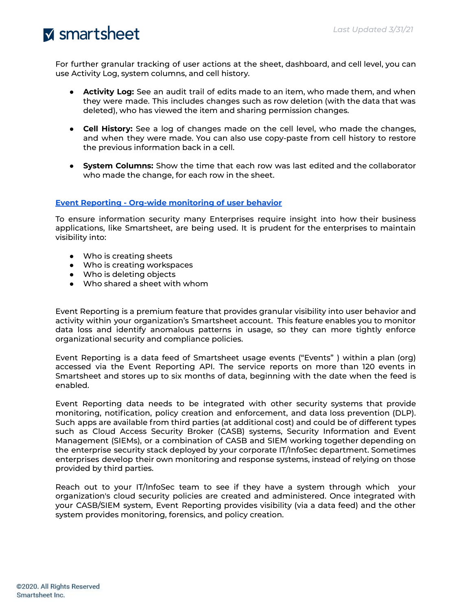For further granular tracking of user actions at the sheet, dashboard, and cell level, you can use Activity Log, system columns, and cell history.

- **Activity Log:** See an audit trail of edits made to an item, who made them, and when they were made. This includes changes such as row deletion (with the data that was deleted), who has viewed the item and sharing permission changes.
- **Cell History:** See a log of changes made on the cell level, who made the changes, and when they were made. You can also use copy-paste from cell history to restore the previous information back in a cell.
- **System Columns:** Show the time that each row was last edited and the collaborator who made the change, for each row in the sheet.

#### **Event Reporting - Org-wide [monitoring](https://help.smartsheet.com/articles/2479296-event-reporting-monitor-how-data-is-used-across-your-organization) of user behavior**

To ensure information security many Enterprises require insight into how their business applications, like Smartsheet, are being used. It is prudent for the enterprises to maintain visibility into:

- Who is creating sheets
- Who is creating workspaces
- Who is deleting objects
- Who shared a sheet with whom

Event Reporting is a premium feature that provides granular visibility into user behavior and activity within your organization's Smartsheet account. This feature enables you to monitor data loss and identify anomalous patterns in usage, so they can more tightly enforce organizational security and compliance policies.

Event Reporting is a data feed of Smartsheet usage events ("Events" ) within a plan (org) accessed via the Event Reporting API. The service reports on more than 120 events in Smartsheet and stores up to six months of data, beginning with the date when the feed is enabled.

Event Reporting data needs to be integrated with other security systems that provide monitoring, notification, policy creation and enforcement, and data loss prevention (DLP). Such apps are available from third parties (at additional cost) and could be of different types such as Cloud Access Security Broker (CASB) systems, Security Information and Event Management (SIEMs), or a combination of CASB and SIEM working together depending on the enterprise security stack deployed by your corporate IT/InfoSec department. Sometimes enterprises develop their own monitoring and response systems, instead of relying on those provided by third parties.

Reach out to your IT/InfoSec team to see if they have a system through which your organization's cloud security policies are created and administered. Once integrated with your CASB/SIEM system, Event Reporting provides visibility (via a data feed) and the other system provides monitoring, forensics, and policy creation.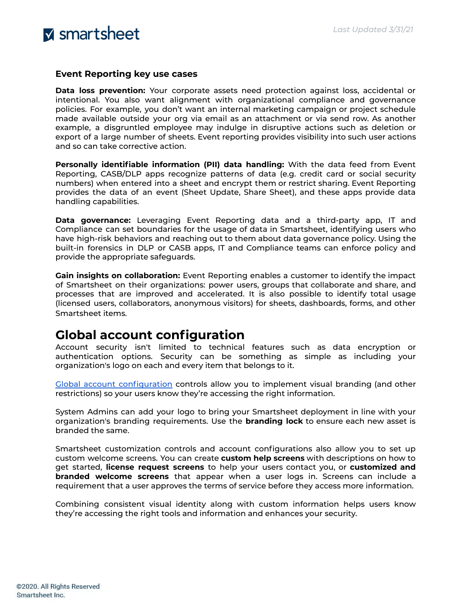

#### **Event Reporting key use cases**

**Data loss prevention:** Your corporate assets need protection against loss, accidental or intentional. You also want alignment with organizational compliance and governance policies. For example, you don't want an internal marketing campaign or project schedule made available outside your org via email as an attachment or via send row. As another example, a disgruntled employee may indulge in disruptive actions such as deletion or export of a large number of sheets. Event reporting provides visibility into such user actions and so can take corrective action.

**Personally identifiable information (PII) data handling:** With the data feed from Event Reporting, CASB/DLP apps recognize patterns of data (e.g. credit card or social security numbers) when entered into a sheet and encrypt them or restrict sharing. Event Reporting provides the data of an event (Sheet Update, Share Sheet), and these apps provide data handling capabilities.

**Data governance:** Leveraging Event Reporting data and a third-party app, IT and Compliance can set boundaries for the usage of data in Smartsheet, identifying users who have high-risk behaviors and reaching out to them about data governance policy. Using the built-in forensics in DLP or CASB apps, IT and Compliance teams can enforce policy and provide the appropriate safeguards.

**Gain insights on collaboration:** Event Reporting enables a customer to identify the impact of Smartsheet on their organizations: power users, groups that collaborate and share, and processes that are improved and accelerated. It is also possible to identify total usage (licensed users, collaborators, anonymous visitors) for sheets, dashboards, forms, and other Smartsheet items.

### **Global account configuration**

Account security isn't limited to technical features such as data encryption or authentication options. Security can be something as simple as including your organization's logo on each and every item that belongs to it.

Global account [configuration](https://help.smartsheet.com/articles/1159581-global-account-settings-team-business-enterprise) controls allow you to implement visual branding (and other restrictions) so your users know they're accessing the right information.

System Admins can add your logo to bring your Smartsheet deployment in line with your organization's branding requirements. Use the **branding lock** to ensure each new asset is branded the same.

Smartsheet customization controls and account configurations also allow you to set up custom welcome screens. You can create **custom help screens** with descriptions on how to get started, **license request screens** to help your users contact you, or **customized and branded welcome screens** that appear when a user logs in. Screens can include a requirement that a user approves the terms of service before they access more information.

Combining consistent visual identity along with custom information helps users know they're accessing the right tools and information and enhances your security.